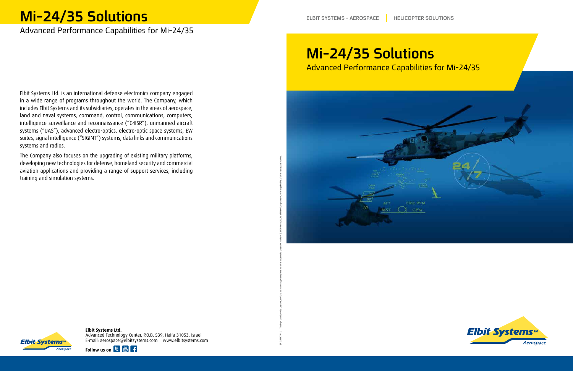Elbit Systems Ltd. is an international defense electronics company engaged in a wide range of programs throughout the world. The Company, which includes Elbit Systems and its subsidiaries, operates in the areas of aerospace, land and naval systems, command, control, communications, computers, intelligence surveillance and reconnaissance ("C4ISR"), unmanned aircraft systems ("UAS"), advanced electro-optics, electro-optic space systems, EW suites, signal intelligence ("SIGINT") systems, data links and communications systems and radios.

The Company also focuses on the upgrading of existing military platforms, developing new technologies for defense, homeland security and commercial aviation applications and providing a range of support services, including training and simulation systems.

## **Mi-24/35 Solutions** Advanced Performance Capabilities for Mi-24/35

**Elbit Systems Ltd.** Advanced Technology Center, P.O.B. 539, Haifa 31053, Israel E-mail: aerospace@elbitsystems.com www.elbitsystems.com









# **Mi-24/35 Solutions**

## Advanced Performance Capabilities for Mi-24/35